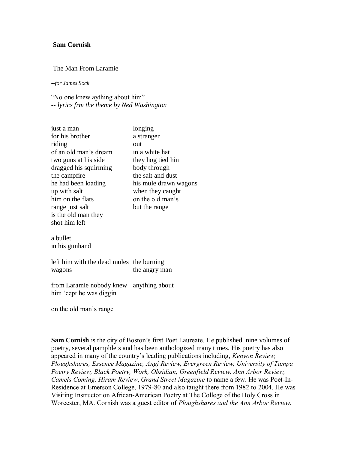## **Sam Cornish**

## The Man From Laramie

*--for James Sock*

"No one knew aything about him" *-- lyrics frm the theme by Ned Washington*

| for his brother<br>a stranger<br>riding<br>out<br>of an old man's dream<br>in a white hat<br>two guns at his side<br>they hog tied him<br>dragged his squirming<br>body through<br>the salt and dust<br>the campfire<br>he had been loading<br>up with salt<br>when they caught<br>on the old man's<br>him on the flats<br>range just salt<br>but the range<br>is the old man they<br>shot him left<br>a bullet<br>in his gunhand | just a man | longing               |
|-----------------------------------------------------------------------------------------------------------------------------------------------------------------------------------------------------------------------------------------------------------------------------------------------------------------------------------------------------------------------------------------------------------------------------------|------------|-----------------------|
|                                                                                                                                                                                                                                                                                                                                                                                                                                   |            |                       |
|                                                                                                                                                                                                                                                                                                                                                                                                                                   |            |                       |
|                                                                                                                                                                                                                                                                                                                                                                                                                                   |            |                       |
|                                                                                                                                                                                                                                                                                                                                                                                                                                   |            |                       |
|                                                                                                                                                                                                                                                                                                                                                                                                                                   |            |                       |
|                                                                                                                                                                                                                                                                                                                                                                                                                                   |            |                       |
|                                                                                                                                                                                                                                                                                                                                                                                                                                   |            | his mule drawn wagons |
|                                                                                                                                                                                                                                                                                                                                                                                                                                   |            |                       |
|                                                                                                                                                                                                                                                                                                                                                                                                                                   |            |                       |
|                                                                                                                                                                                                                                                                                                                                                                                                                                   |            |                       |
|                                                                                                                                                                                                                                                                                                                                                                                                                                   |            |                       |
|                                                                                                                                                                                                                                                                                                                                                                                                                                   |            |                       |
|                                                                                                                                                                                                                                                                                                                                                                                                                                   |            |                       |
|                                                                                                                                                                                                                                                                                                                                                                                                                                   |            |                       |

left him with the dead mules the burning wagons the angry man

from Laramie nobody knew anything about him "cept he was diggin

on the old man"s range

**Sam Cornish** is the city of Boston's first Poet Laureate. He published nine volumes of poetry, several pamphlets and has been anthologized many times. His poetry has also appeared in many of the country"s leading publications including, *Kenyon Review, Ploughshares, Essence Magazine, Angi Review, Evergreen Review, University of Tampa Poetry Review, Black Poetry, Work, Obsidian, Greenfield Review, Ann Arbor Review, Camels Coming, Hiram Review*, *Grand Street Magazine* to name a few. He was Poet-In-Residence at Emerson College, 1979-80 and also taught there from 1982 to 2004. He was Visiting Instructor on African-American Poetry at The College of the Holy Cross in Worcester, MA. Cornish was a guest editor of *Ploughshares and the Ann Arbor Review*.